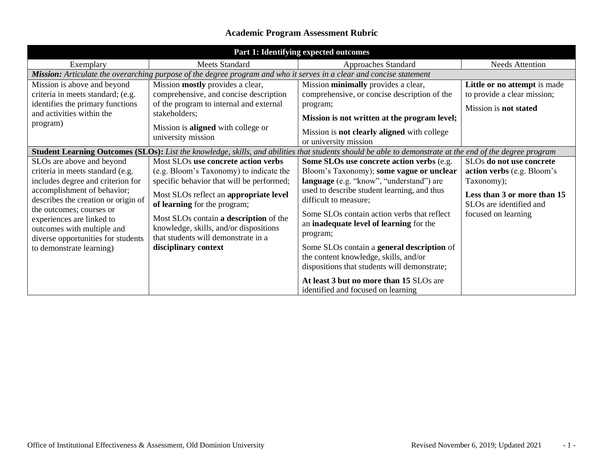## **Academic Program Assessment Rubric**

| Part 1: Identifying expected outcomes                                                                                       |                                                                                                                         |                                                                                                                                                                 |                                                                    |  |  |
|-----------------------------------------------------------------------------------------------------------------------------|-------------------------------------------------------------------------------------------------------------------------|-----------------------------------------------------------------------------------------------------------------------------------------------------------------|--------------------------------------------------------------------|--|--|
| Exemplary                                                                                                                   | <b>Meets Standard</b>                                                                                                   | Approaches Standard                                                                                                                                             | <b>Needs Attention</b>                                             |  |  |
| Mission: Articulate the overarching purpose of the degree program and who it serves in a clear and concise statement        |                                                                                                                         |                                                                                                                                                                 |                                                                    |  |  |
| Mission is above and beyond                                                                                                 | Mission mostly provides a clear,                                                                                        | Mission minimally provides a clear,                                                                                                                             | Little or no attempt is made                                       |  |  |
| criteria in meets standard; (e.g.                                                                                           | comprehensive, and concise description                                                                                  | comprehensive, or concise description of the                                                                                                                    | to provide a clear mission;                                        |  |  |
| identifies the primary functions                                                                                            | of the program to internal and external                                                                                 | program;                                                                                                                                                        | Mission is not stated                                              |  |  |
| and activities within the                                                                                                   | stakeholders;                                                                                                           | Mission is not written at the program level;                                                                                                                    |                                                                    |  |  |
| program)                                                                                                                    | Mission is <b>aligned</b> with college or<br>university mission                                                         | Mission is <b>not clearly aligned</b> with college<br>or university mission                                                                                     |                                                                    |  |  |
|                                                                                                                             |                                                                                                                         | <b>Student Learning Outcomes (SLOs):</b> List the knowledge, skills, and abilities that students should be able to demonstrate at the end of the degree program |                                                                    |  |  |
| SLOs are above and beyond                                                                                                   | Most SLOs use concrete action verbs                                                                                     | Some SLOs use concrete action verbs (e.g.                                                                                                                       | SLOs do not use concrete                                           |  |  |
| criteria in meets standard (e.g.                                                                                            | (e.g. Bloom's Taxonomy) to indicate the                                                                                 | Bloom's Taxonomy); some vague or unclear                                                                                                                        | action verbs (e.g. Bloom's                                         |  |  |
| includes degree and criterion for                                                                                           | specific behavior that will be performed;                                                                               | language (e.g. "know", "understand") are                                                                                                                        | Taxonomy);                                                         |  |  |
| accomplishment of behavior;<br>describes the creation or origin of<br>the outcomes; courses or<br>experiences are linked to | Most SLOs reflect an appropriate level<br>of learning for the program;                                                  | used to describe student learning, and thus<br>difficult to measure;                                                                                            | Less than 3 or more than 15<br>SLO <sub>s</sub> are identified and |  |  |
|                                                                                                                             | Most SLOs contain a description of the<br>knowledge, skills, and/or dispositions<br>that students will demonstrate in a | Some SLOs contain action verbs that reflect<br>an inadequate level of learning for the                                                                          | focused on learning                                                |  |  |
| outcomes with multiple and<br>diverse opportunities for students                                                            |                                                                                                                         | program;                                                                                                                                                        |                                                                    |  |  |
| to demonstrate learning)                                                                                                    | disciplinary context                                                                                                    | Some SLOs contain a general description of                                                                                                                      |                                                                    |  |  |
|                                                                                                                             |                                                                                                                         | the content knowledge, skills, and/or                                                                                                                           |                                                                    |  |  |
|                                                                                                                             |                                                                                                                         | dispositions that students will demonstrate;                                                                                                                    |                                                                    |  |  |
|                                                                                                                             |                                                                                                                         | At least 3 but no more than 15 SLOs are<br>identified and focused on learning                                                                                   |                                                                    |  |  |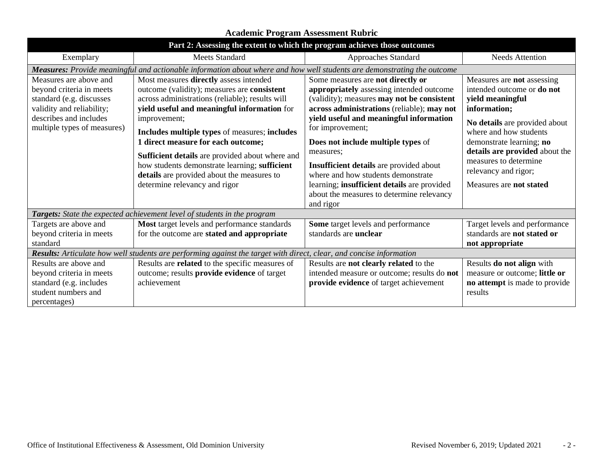| Part 2: Assessing the extent to which the program achieves those outcomes                                                                                            |                                                                                                                                                                                                                                                                                                                                                                                                                                                                                   |                                                                                                                                                                                                                                                                                                                                                                                                                                                                                              |                                                                                                                                                                                                                                                                                                          |  |  |
|----------------------------------------------------------------------------------------------------------------------------------------------------------------------|-----------------------------------------------------------------------------------------------------------------------------------------------------------------------------------------------------------------------------------------------------------------------------------------------------------------------------------------------------------------------------------------------------------------------------------------------------------------------------------|----------------------------------------------------------------------------------------------------------------------------------------------------------------------------------------------------------------------------------------------------------------------------------------------------------------------------------------------------------------------------------------------------------------------------------------------------------------------------------------------|----------------------------------------------------------------------------------------------------------------------------------------------------------------------------------------------------------------------------------------------------------------------------------------------------------|--|--|
| Exemplary                                                                                                                                                            | <b>Meets Standard</b>                                                                                                                                                                                                                                                                                                                                                                                                                                                             | Approaches Standard                                                                                                                                                                                                                                                                                                                                                                                                                                                                          | <b>Needs Attention</b>                                                                                                                                                                                                                                                                                   |  |  |
| Measures: Provide meaningful and actionable information about where and how well students are demonstrating the outcome                                              |                                                                                                                                                                                                                                                                                                                                                                                                                                                                                   |                                                                                                                                                                                                                                                                                                                                                                                                                                                                                              |                                                                                                                                                                                                                                                                                                          |  |  |
| Measures are above and<br>beyond criteria in meets<br>standard (e.g. discusses<br>validity and reliability;<br>describes and includes<br>multiple types of measures) | Most measures directly assess intended<br>outcome (validity); measures are consistent<br>across administrations (reliable); results will<br>yield useful and meaningful information for<br>improvement;<br>Includes multiple types of measures; includes<br>1 direct measure for each outcome;<br>Sufficient details are provided about where and<br>how students demonstrate learning; sufficient<br>details are provided about the measures to<br>determine relevancy and rigor | Some measures are not directly or<br>appropriately assessing intended outcome<br>(validity); measures <b>may not be consistent</b><br>across administrations (reliable); may not<br>yield useful and meaningful information<br>for improvement;<br>Does not include multiple types of<br>measures;<br>Insufficient details are provided about<br>where and how students demonstrate<br>learning; insufficient details are provided<br>about the measures to determine relevancy<br>and rigor | Measures are not assessing<br>intended outcome or <b>do not</b><br>yield meaningful<br>information;<br>No details are provided about<br>where and how students<br>demonstrate learning; no<br>details are provided about the<br>measures to determine<br>relevancy and rigor;<br>Measures are not stated |  |  |
| Targets: State the expected achievement level of students in the program                                                                                             |                                                                                                                                                                                                                                                                                                                                                                                                                                                                                   |                                                                                                                                                                                                                                                                                                                                                                                                                                                                                              |                                                                                                                                                                                                                                                                                                          |  |  |
| Targets are above and<br>beyond criteria in meets<br>standard                                                                                                        | Most target levels and performance standards<br>for the outcome are stated and appropriate                                                                                                                                                                                                                                                                                                                                                                                        | Some target levels and performance<br>standards are <b>unclear</b>                                                                                                                                                                                                                                                                                                                                                                                                                           | Target levels and performance<br>standards are not stated or<br>not appropriate                                                                                                                                                                                                                          |  |  |
| Results: Articulate how well students are performing against the target with direct, clear, and concise information                                                  |                                                                                                                                                                                                                                                                                                                                                                                                                                                                                   |                                                                                                                                                                                                                                                                                                                                                                                                                                                                                              |                                                                                                                                                                                                                                                                                                          |  |  |
| Results are above and<br>beyond criteria in meets<br>standard (e.g. includes<br>student numbers and<br>percentages)                                                  | Results are related to the specific measures of<br>outcome; results provide evidence of target<br>achievement                                                                                                                                                                                                                                                                                                                                                                     | Results are not clearly related to the<br>intended measure or outcome; results do not<br>provide evidence of target achievement                                                                                                                                                                                                                                                                                                                                                              | Results do not align with<br>measure or outcome; little or<br>no attempt is made to provide<br>results                                                                                                                                                                                                   |  |  |

## **Academic Program Assessment Rubric**